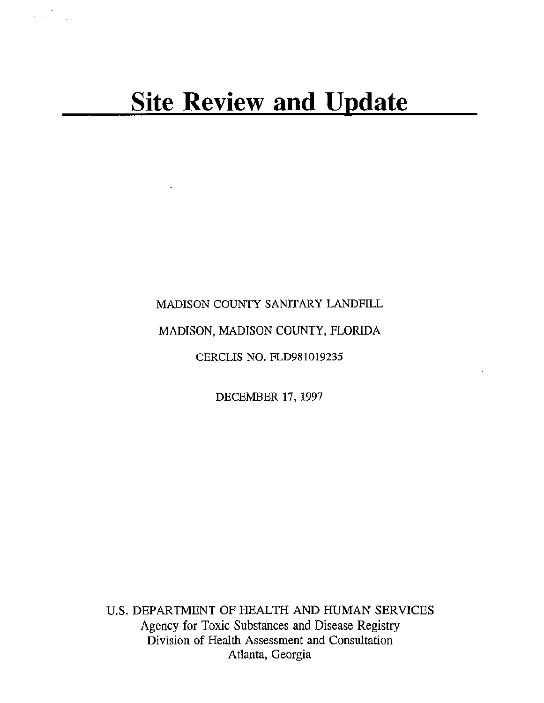$\mathcal{L}^{\text{max}}_{\text{max}}$ 

## MADISON COUNTY SANITARY LANDFILL

## MADISON, MADISON COUNTY, FLORIDA

CERCLIS NO. FLD981019235

DECEMBER 17, 1997

U.S. DEPARTMENT OF HEALTH AND HUMAN SERVICES Agency for Toxic Substances and Disease Registry Division of Health Assessment and Consultation Atlanta, Georgia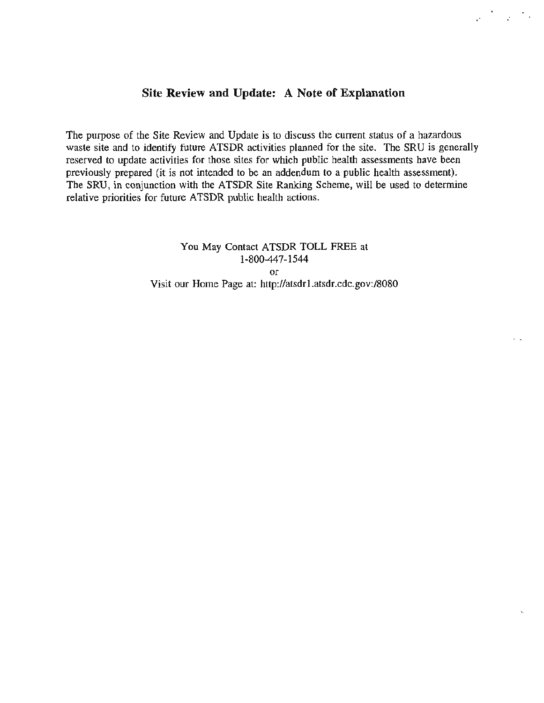## **Site Review and Update: A Note of Explanation**

.·

 $\mathcal{F}=\mathcal{F}^{-1}$  .

The purpose of the Site Review and Update is to discuss the current status of a hazardous waste site and to identify future ATSDR activities planned for the site. The SRU is generally reserved to update activities for those sites for which public health assessments have been previously prepared (it is not intended to be an addendum to a public health assessment). The SRU, in conjunction with the ATSDR Site Ranking Scheme, will be used to determine relative priorities for future ATSDR public health actions.

> You May Contact ATSDR TOLL FREE at 1-800-447-1544 or Visit our Home Page at: http://atsdrl.atsdr.cdc.gov:/8080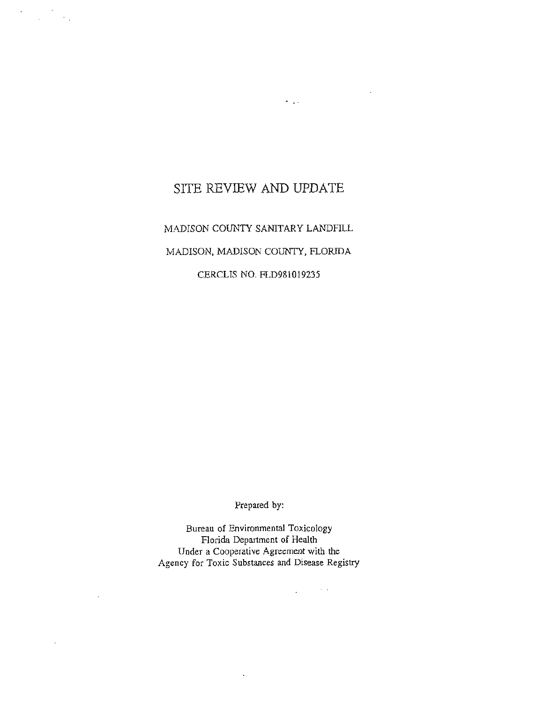# SITE REVIEW AND **UPDATE**

 $\sim 100$ 

 $\mathcal{L}^{\mathcal{L}}$ 

 $\mathcal{L}_{\text{max}}$  ,  $\mathcal{L}_{\text{max}}$ 

MADISON COUNTY SANITARY LANDFILL MADISON, MADISON COUNTY, FLORIDA

CERCLIS NO. FLD981019235

Prepared by:

Bureau of Environmental Toxicology Florida Department of Health Under a Cooperative Agreement with the Agency for Toxic Substances and Disease Registry

 $\overline{a}$ 

 $\mathcal{L}_{\mathcal{A}}$  , where  $\mathcal{L}_{\mathcal{A}}$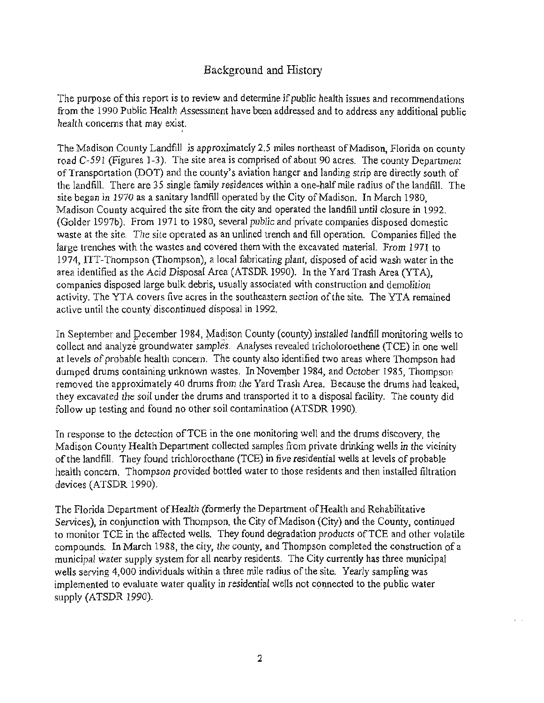## Background and History

The purpose of this report is to review and determine if public health issues and recommendations from the 1990 Public Health Assessment have been addressed and to address any additional public health concerns that may exist.

I

The Madison County Landfill is approximately 2.5 miles northeast of Madison. Florida on county road C-591 (Figures 1-3). The site area is comprised of about 90 acres. The county Department ofTransportation (DOT) and the county's aviation hanger and landing strip are directly south of the landfill. There are 35 single family residences within a one-half mile radius of the landfill. The site began in 1970 as a sanitary landfill operated by the City of Madison. In March 1980, Madison County acquired the site from the city and operated the landfill until closure in 1992. (Golder 1997b). From 1971 to 1980, several public and private companies disposed domestic waste at the site. The site operated as an unlined trench and fill operation. Companies filled the large trenches with the wastes and covered them with the excavated material. From 1971 to 1974, ITT-Thompson (Thompson), a local fabricating plant, disposed of acid wash water in the area identified as the Acid Disposal Area (ATSDR 1990). In the Yard Trash Area (YTA), companies disposed large bulk debris, usually associated with construction and demolition activity. The YTA covers five acres in the southeastern section of the site. The YTA remained active until the county discontinued disposal in 1992.

In September and December 1984, Madison County (county) installed landfill monitoring wells to collect and analyze groundwater samples. Analyses revealed tricholoroethene (TCE) in one well at levels of probable health concern. The county also identified two areas where Thompson had dumped drums containing unknown wastes. In November 1984, and October 1985, Thompson removed the approximately 40 drums from the Yard Trash Area. Because the drums had leaked, they excavated the soil under the drums and transported it to a disposal facility. The county did follow up testing and found no other soil contamination (ATSDR 1990).

In response to the detection ofTCE in the one monitoring well and the drums discovery, the Madison County Health Department collected samples from private drinking wells in the vicinity of the landfill. They found trichloroethane (TCE) in five residential wells at levels of probable health concern. Thompson provided bottled water to those residents and then installed filtration devices (ATSDR 1990).

The Florida Department of Health (formerly the Department of Health and Rehabilitative Services), in conjunction with Thompson, the City of Madison (City) and the County, continued to monitor TCE in the affected wells. They found degradation products of TCE and other volatile compounds. In March 1988, the city, the county, and Thompson completed the construction of a municipal water supply system for all nearby residents. The City currently has three municipal wells serving 4,000 individuals within a three mile radius of the site. Yearly sampling was implemented to evaluate water quality in residential wells not connected to the public water supply (ATSDR 1990).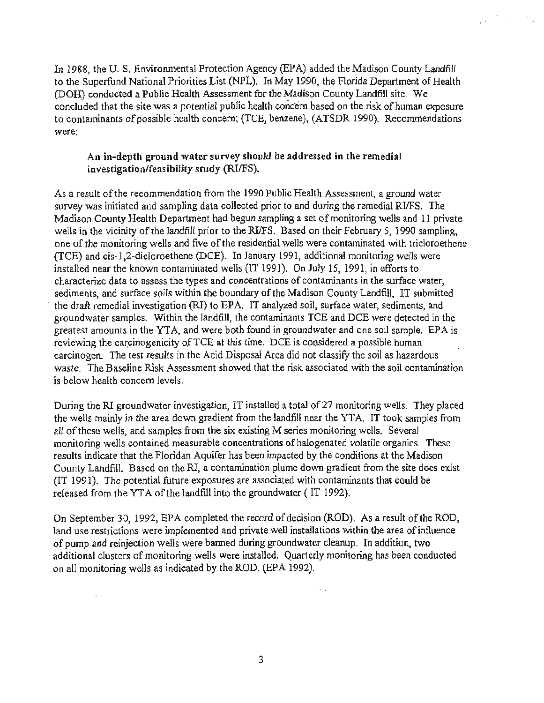In 1988, the U. S. Environmental Protection Agency (EPA) added the Madison County Landfill to the Superfund National Priorities List (NPL). In May 1990, the Florida Department of Health (DOH) conducted a Public Health Assessment for the Madison County Landfill site. We concluded that the site was a potential public health concern based on the risk of human exposure to contaminants of possible health concern; (TCE, benzene), (ATSDR 1990). Recommendations were:

#### An in-depth ground water survey should be addressed in the remedial investigation/feasibility study (RI/FS).

As a result of the recommendation from the 1990 Public Health Assessment, a ground water survey was initiated and sampling data collected prior to and during the remedial RI/FS. The Madison County Health Department had begun sampling a set of monitoring wells and 11 private wells in the vicinity of the landfill prior to the RI/FS. Based on their February 5, 1990 sampling, one of the monitoring wells and five of the residential wells were contaminated with tricloroethene (TCE) and cis-1,2-dicloroethene (DCE). In January 1991, additional monitoring wells were installed near the known contaminated wells (IT 1991). On July 15, 1991, in efforts to characterize data to assess the types and concentrations of contaminants in the surface water, sediments, and surface soils within the boundary of the Madison County Landfill, IT submitted the draft remedial investigation (RI) to EPA. IT analyzed soil, surface water, sediments, and groundwater samples. Within the landfill, the contaminants TCE and DCE were detected in the greatest amounts in the YT A, and were both found in groundwater and one soil sample. EPA is reviewing the carcinogenicity of TCE at this time. DCE is considered a possible human carcinogen. The test results in the Acid Disposal Area did nor classify the soil as hazardous waste. The Baseline Risk Assessment showed that the risk associated with the soil contamination is below health concern levels.

During the RI groundwater investigation, IT installed a total of27 monitoring wells. They placed the wells mainly in the area down gradient from the landfill near the YTA. IT took samples from all of these wells, and samples from the six existing M series monitoring wells. Several monitoring wells contained measurable concentrations of halogenated volatile organics. These results indicate that the Floridan Aquifer has been impacted by the conditions at the Madison County Landfill. Based on the RI, a contamination plume down gradient from the site does exist (IT 1991 ). The potential future exposures are associated with contaminants that could be released from the YT A of the landfill into the groundwater ( IT 1992).

On September 30, 1992, EPA completed the record of decision (ROD). As a result of the ROD, land use restrictions were implemented and private well installations within the area of influence of pump and reinjection wells were banned during groundwater cleanup. In addition, two additional clusters of monitoring wells were installed. Quarterly monitoring has been conducted on ail monitoring wells as indicated by the ROD. (EPA 1992).

 $\mathcal{L}^{\pm}$  .

 $\ddot{\phantom{1}}$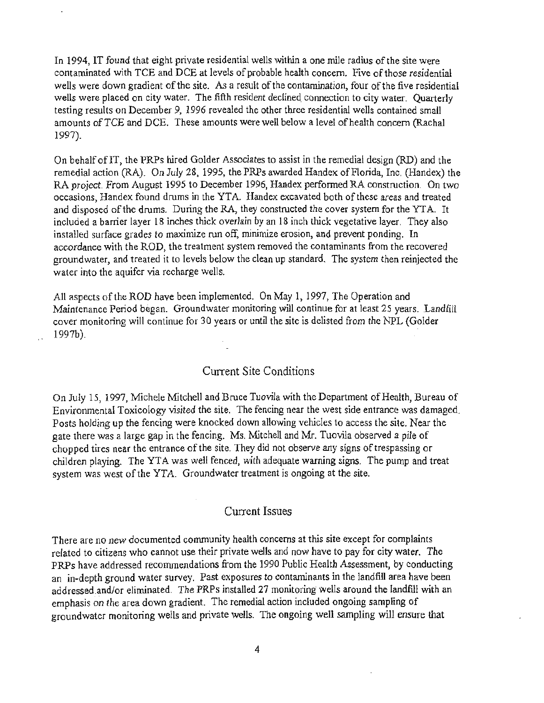In 1994, IT found that eight private residential wells within a one mile radius of the site were contaminated with TCE and DCE at levels of probable health concern. Five of those residential wells were down gradient of the site. As a result of the contamination, four of the five residential wells were placed on city water. The fifth resident declined connection to city water. Quarterly testing results on December 9, 1996 revealed the other three residential wells contained small amounts of TCE and DCE. These amounts were well below a level of health concern (Rachal 1997).

On behalf oflT, the PRPs hired Golder Associates to assist in the remedial design (RD) and the remedial action (RA). On July 28, 1995, the PRPs awarded Handex of Florida, Inc. (Handex) the RA project. From August 1995 to December 1996, Handex performed RA construction. On two occasions, Handex found drums in the YTA. Handex excavated both of these areas and treated and disposed of the drums. During the RA, they constructed the cover system for the YTA. It included a barrier layer 18 inches thick overlain by an 18 inch thick vegetative layer. They also installed surface grades to maximize run off, minimize erosion, and prevent ponding. In accordance with the ROD, the treatment system removed the contaminants from the recovered groundwater, and treated it to levels below the clean up standard. The system then reinjected the water into the aquifer via recharge wells.

All aspects of the ROD have been implemented. On May 1, 1997, The Operation and Maintenance Period began. Groundwater monitoring will continue for at least 25 years. Landfill cover monitoring will continue for 30 years or until the site is delisted from the NPL (Golder  $1997b$ ).

#### Current Site Conditions

On July 15, 1997, Michele Mitchell and Bruce Tuovila with the Department of Health, Bureau of Environmental Toxicology visited the site. The fencing near the west side entrance was damaged. Posts holding up the fencing were knocked down allowing vehicles to access the site. Near the gate there was a large gap in the fencing. Ms. Mitchell and Mr. Tuovila observed a pile of chopped tires near the entrance of the site. They did not observe any signs of trespassing or children playing. The YT A was well fenced, with adequate warning signs. The pump and treat system was west of the YTA. Groundwater treatment is ongoing at the site.

#### Current Issues

There are no new documented community health concerns at this site except for complaints related to citizens who cannot use their private wells and now have to pay for city water. The PRPs have addressed recommendations from the 1990 Public Health Assessment, by conducting an in-depth ground water survey. Past exposures to contaminants in the landfill area have been addressed.and/or eliminated. The PRPs installed 27 monitoring wells around the landfill with an emphasis on the area down gradient. The remedial action included ongoing sampling of groundwater monitoring wells and private wells. The ongoing well sampling will ensure that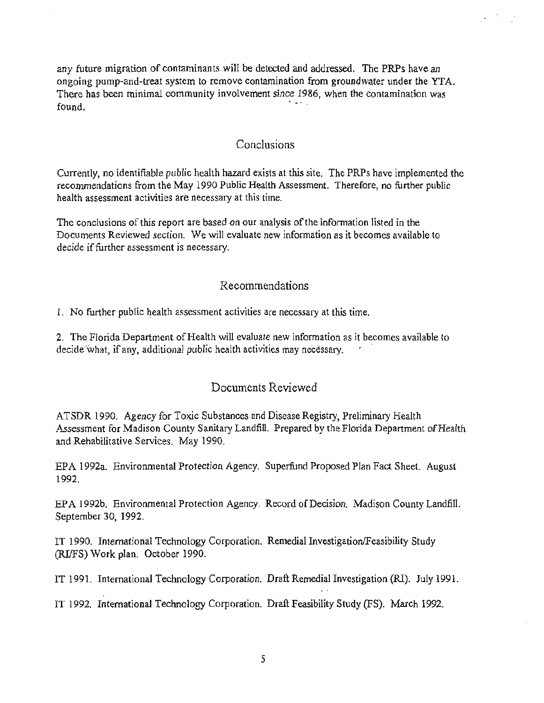any future migration of contaminants will be detected and addressed. The PRPs have an ongoing pump-and-treat system to remove contamination from groundwater under the YTA. There has been minimal community involvement since 1986, when the contamination was  $found.$ 

### Conclusions

Currently, no identifiable public health hazard exists at this site. The PRPs have implemented the recommendations from the May 1990 Public Health Assessment. Therefore, no further public health assessment activities are necessary at this time.

The conclusions of this report are based on our analysis of the information listed in the Documents Reviewed section. We will evaluate new information as it becomes available to decide if further assessment is necessary.

#### Recommendations

1. No further public. ealth assessment activities are necessary at this time.

2. The Florida Department of Health will evaluate new information as it becomes available to decide what, if any, additional public health activities may necessary.

#### Documents Reviewed

ATSDR 1990. Agency for Toxic Substances and Disease Registry, Preliminary Health Assessment for Madison County Sanitary Landfill. Prepared by the Florida Department of Health and Rehabilitative Services. May 1990.

EPA 1992a. Environmental Protection Agency. Superfund Proposed Plan Fact Sheet. August 1992.

EPA 1992b. Environmental Protection Agency. Record ofDecision. Madison County Landfill. September 30, 1992.

IT 1990. International Technology Corporation. Remedial Investigation/Feasibility Study (RifFS) Work plan. October 1990.

IT 1991. International Technology Corporation. Draft Remedial Investigation (RI). July 1991.

IT 1992. International Technology Corporation. Draft Feasibility Study (FS). March 1992.

5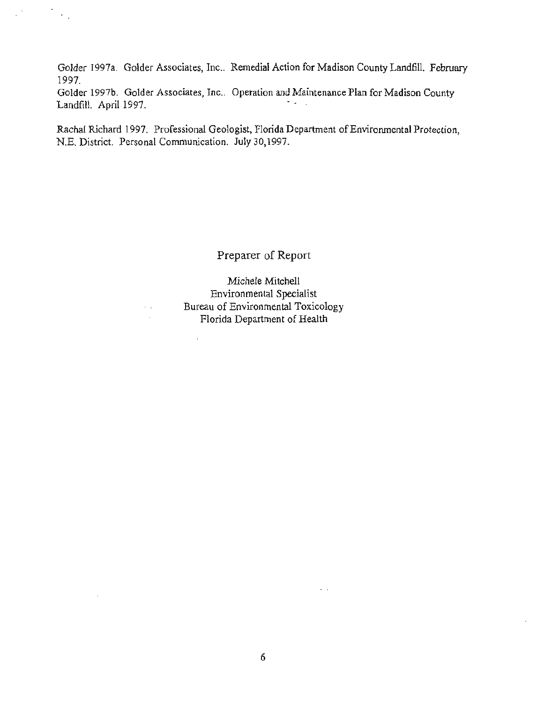Golder 1997a. Golder Associates, Inc.. Remedial Action for Madison County Landfill. February 1997.

Golder 1997b. Golder Associates, Inc.. Operation and Maintenance Plan for Madison County Landfill. April 1997.

 $\mathbb{R}^2$ 

 $\cdot$  $\sim$  .

> Rachal Richard 1997. Professional Geologist, Florida Department of Environmental Protection, N.E. District. Personal Communication. July 30,1997.

> > Preparer of Report

Michele Mitchell Environmental Specialist Bureau of Environmental Toxicology Florida Department of Health

 $\bar{\mathcal{L}}$ 

l,

 $\ddotsc$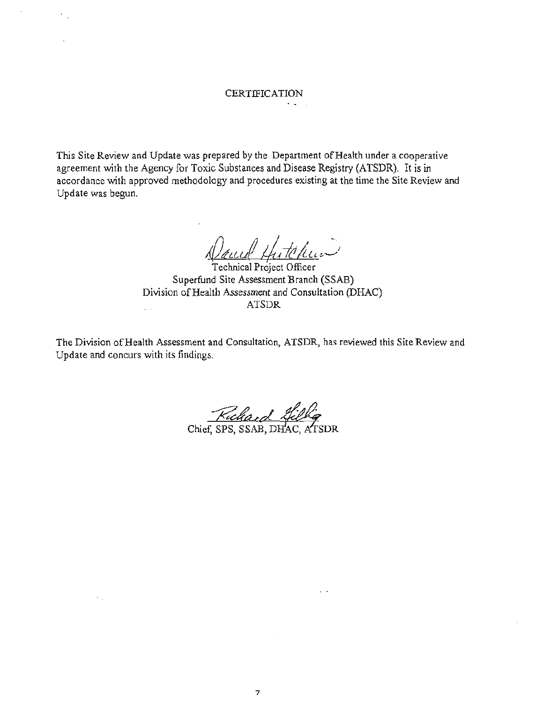# CERTIFICATION

This Site Review and Update was prepared by the Department of Health under a cooperative agreement with the Agency for Toxic Substances and Disease Registry (ATSDR). It is in accordance with approved methodology and procedures existing at the time the Site Review and Update was begun.

Dauel Hutchen

Superfund Site Assessment Branch (SSAB) Division of Health Assessment and Consultation (DHAC) ATSDR  $\mathcal{L}^{\text{max}}$ 

The Division of Health Assessment and Consultation, ATSDR, has reviewed this Site Review and Update and concurs with its findings.

Ruchard Hillig

 $\epsilon_{\rm{eff}}$ 

 $\ddotsc$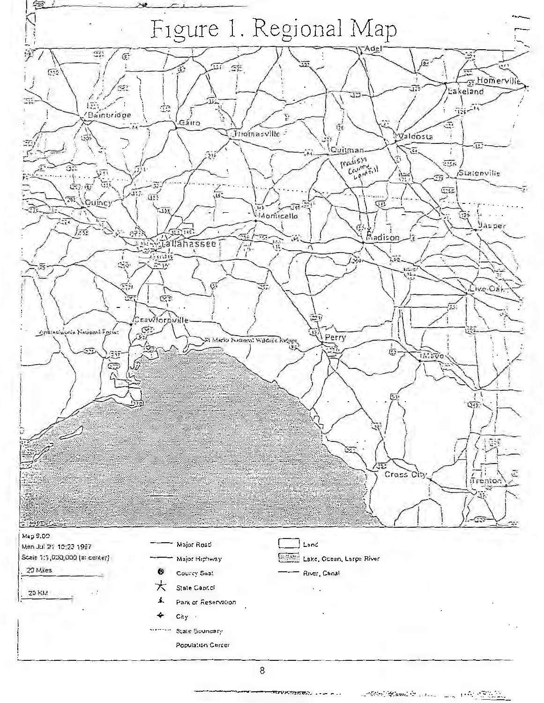

-πενκαιτσώ

011501 <u>1994</u>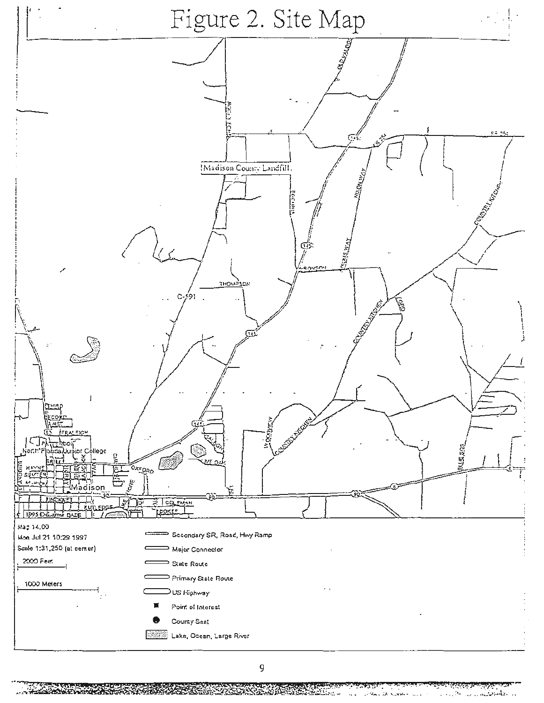

N. يتونين 4. . . .